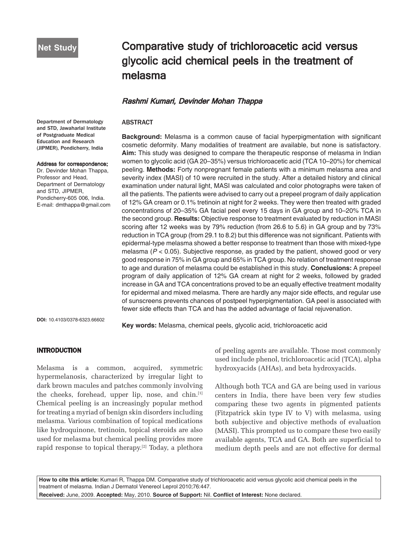# Comparative study of trichloroacetic acid versus glycolic acid chemical peels in the treatment of melasma

## Rashmi Kumari, Devinder Mohan Thappa

## ABSTRACT

**Background:** Melasma is a common cause of facial hyperpigmentation with significant cosmetic deformity. Many modalities of treatment are available, but none is satisfactory. **Aim:** This study was designed to compare the therapeutic response of melasma in Indian women to glycolic acid (GA 20–35%) versus trichloroacetic acid (TCA 10–20%) for chemical peeling. **Methods:** Forty nonpregnant female patients with a minimum melasma area and severity index (MASI) of 10 were recruited in the study. After a detailed history and clinical examination under natural light, MASI was calculated and color photographs were taken of all the patients. The patients were advised to carry out a prepeel program of daily application of 12% GA cream or 0.1% tretinoin at night for 2 weeks. They were then treated with graded concentrations of 20–35% GA facial peel every 15 days in GA group and 10–20% TCA in the second group. **Results:** Objective response to treatment evaluated by reduction in MASI scoring after 12 weeks was by 79% reduction (from 26.6 to 5.6) in GA group and by 73% reduction in TCA group (from 29.1 to 8.2) but this difference was not significant. Patients with epidermal-type melasma showed a better response to treatment than those with mixed-type melasma  $(P < 0.05)$ . Subjective response, as graded by the patient, showed good or very good response in 75% in GA group and 65% in TCA group. No relation of treatment response to age and duration of melasma could be established in this study. **Conclusions:** A prepeel program of daily application of 12% GA cream at night for 2 weeks, followed by graded increase in GA and TCA concentrations proved to be an equally effective treatment modality for epidermal and mixed melasma. There are hardly any major side effects, and regular use of sunscreens prevents chances of postpeel hyperpigmentation. GA peel is associated with fewer side effects than TCA and has the added advantage of facial rejuvenation.

**DOI:** 10.4103/0378-6323.66602

**Key words:** Melasma, chemical peels, glycolic acid, trichloroacetic acid

## INTRODUCTION

Melasma is a common, acquired, symmetric hypermelanosis, characterized by irregular light to dark brown macules and patches commonly involving the cheeks, forehead, upper lip, nose, and chin.[1] Chemical peeling is an increasingly popular method for treating a myriad of benign skin disorders including melasma. Various combination of topical medications like hydroquinone, tretinoin, topical steroids are also used for melasma but chemical peeling provides more rapid response to topical therapy.[2] Today, a plethora

of peeling agents are available. Those most commonly used include phenol, trichloroacetic acid (TCA), alpha hydroxyacids (AHAs), and beta hydroxyacids.

Although both TCA and GA are being used in various centers in India, there have been very few studies comparing these two agents in pigmented patients (Fitzpatrick skin type IV to V) with melasma, using both subjective and objective methods of evaluation (MASI). This prompted us to compare these two easily available agents, TCA and GA. Both are superficial to medium depth peels and are not effective for dermal

**How to cite this article:** Kumari R, Thappa DM. Comparative study of trichloroacetic acid versus glycolic acid chemical peels in the treatment of melasma. Indian J Dermatol Venereol Leprol 2010;76:447.

**Received:** June, 2009. **Accepted:** May, 2010. **Source of Support:** Nil. **Conflict of Interest:** None declared.

Department of Dermatology and STD, Jawaharlal Institute of Postgraduate Medical Education and Research (JIPMER), Pondicherry, India

#### Address for correspondence:

Dr. Devinder Mohan Thappa, Professor and Head, Department of Dermatology and STD, JIPMER, Pondicherry-605 006, India. E-mail: dmthappa@gmail.com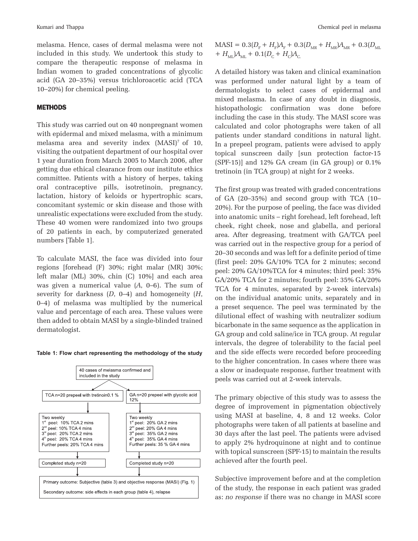melasma. Hence, cases of dermal melasma were not included in this study. We undertook this study to compare the therapeutic response of melasma in Indian women to graded concentrations of glycolic acid (GA 20–35%) versus trichloroacetic acid (TCA 10–20%) for chemical peeling.

## **METHODS**

This study was carried out on 40 nonpregnant women with epidermal and mixed melasma, with a minimum melasma area and severity index (MASI)<sup>7</sup> of 10, visiting the outpatient department of our hospital over 1 year duration from March 2005 to March 2006, after getting due ethical clearance from our institute ethics committee. Patients with a history of herpes, taking oral contraceptive pills, isotretinoin, pregnancy, lactation, history of keloids or hypertrophic scars, concomitant systemic or skin disease and those with unrealistic expectations were excluded from the study. These 40 women were randomized into two groups of 20 patients in each, by computerized generated numbers [Table 1].

To calculate MASI, the face was divided into four regions [forehead (F) 30%; right malar (MR) 30%; left malar (ML) 30%, chin (C) 10%] and each area was given a numerical value (*A*, 0–6). The sum of severity for darkness (*D*, 0–4) and homogeneity (*H*, 0–4) of melasma was multiplied by the numerical value and percentage of each area. These values were then added to obtain MASI by a single-blinded trained dermatologist.





 $MASI = 0.3(D_F + H_F)A_F + 0.3(D_{MR} + H_{MR})A_{MR} + 0.3(D_{ML}$  $+ H_{\text{ML}})A_{\text{ML}} + 0.1(D_{\text{C}} + H_{\text{C}})A_{\text{C}}$ .

A detailed history was taken and clinical examination was performed under natural light by a team of dermatologists to select cases of epidermal and mixed melasma. In case of any doubt in diagnosis, histopathologic confirmation was done before including the case in this study. The MASI score was calculated and color photographs were taken of all patients under standard conditions in natural light. In a prepeel program, patients were advised to apply topical sunscreen daily [sun protection factor-15 (SPF-15)] and 12% GA cream (in GA group) or 0.1% tretinoin (in TCA group) at night for 2 weeks.

The first group was treated with graded concentrations of GA (20–35%) and second group with TCA (10– 20%). For the purpose of peeling, the face was divided into anatomic units – right forehead, left forehead, left cheek, right cheek, nose and glabella, and perioral area. After degreasing, treatment with GA/TCA peel was carried out in the respective group for a period of 20–30 seconds and was left for a definite period of time (first peel: 20% GA/10% TCA for 2 minutes; second peel: 20% GA/10%TCA for 4 minutes; third peel: 35% GA/20% TCA for 2 minutes; fourth peel: 35% GA/20% TCA for 4 minutes, separated by 2-week intervals) on the individual anatomic units, separately and in a preset sequence. The peel was terminated by the dilutional effect of washing with neutralizer sodium bicarbonate in the same sequence as the application in GA group and cold saline/ice in TCA group. At regular intervals, the degree of tolerability to the facial peel and the side effects were recorded before proceeding to the higher concentration. In cases where there was a slow or inadequate response, further treatment with peels was carried out at 2-week intervals.

The primary objective of this study was to assess the degree of improvement in pigmentation objectively using MASI at baseline, 4, 8 and 12 weeks. Color photographs were taken of all patients at baseline and 30 days after the last peel. The patients were advised to apply 2% hydroquinone at night and to continue with topical sunscreen (SPF-15) to maintain the results achieved after the fourth peel.

Subjective improvement before and at the completion of the study, the response in each patient was graded as: *no response* if there was no change in MASI score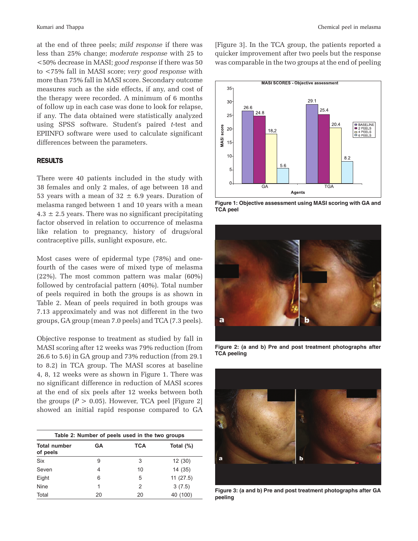at the end of three peels; *mild response* if there was less than 25% change; *moderate response* with 25 to <50% decrease in MASI; *good response* if there was 50 to <75% fall in MASI score; *very good response* with more than 75% fall in MASI score. Secondary outcome measures such as the side effects, if any, and cost of the therapy were recorded. A minimum of 6 months of follow up in each case was done to look for relapse, if any. The data obtained were statistically analyzed using SPSS software. Student's paired *t*-test and EPIINFO software were used to calculate significant differences between the parameters.

#### RESULTS

There were 40 patients included in the study with 38 females and only 2 males, of age between 18 and 53 years with a mean of  $32 \pm 6.9$  years. Duration of melasma ranged between 1 and 10 years with a mean  $4.3 \pm 2.5$  years. There was no significant precipitating factor observed in relation to occurrence of melasma like relation to pregnancy, history of drugs/oral contraceptive pills, sunlight exposure, etc.

Most cases were of epidermal type (78%) and onefourth of the cases were of mixed type of melasma (22%). The most common pattern was malar (60%) followed by centrofacial pattern (40%). Total number of peels required in both the groups is as shown in Table 2. Mean of peels required in both groups was 7.13 approximately and was not different in the two groups, GA group (mean 7.0 peels) and TCA (7.3 peels).

Objective response to treatment as studied by fall in MASI scoring after 12 weeks was 79% reduction (from 26.6 to 5.6) in GA group and 73% reduction (from 29.1 to 8.2) in TCA group. The MASI scores at baseline 4, 8, 12 weeks were as shown in Figure 1. There was no significant difference in reduction of MASI scores at the end of six peels after 12 weeks between both the groups  $(P > 0.05)$ . However, TCA peel [Figure 2] showed an initial rapid response compared to GA

| Table 2: Number of peels used in the two groups |    |     |              |  |
|-------------------------------------------------|----|-----|--------------|--|
| <b>Total number</b><br>of peels                 | GA | TCA | Total $(\%)$ |  |
| <b>Six</b>                                      | 9  | 3   | 12(30)       |  |
| Seven                                           | 4  | 10  | 14(35)       |  |
| Eight                                           | 6  | 5   | 11(27.5)     |  |
| <b>Nine</b>                                     | 1  | 2   | 3(7.5)       |  |
| Total                                           | 20 | 20  | 40 (100)     |  |

[Figure 3]. In the TCA group, the patients reported a quicker improvement after two peels but the response was comparable in the two groups at the end of peeling



**Figure 1: Objective assessment using MASI scoring with GA and TCA peel**



**Figure 2: (a and b) Pre and post treatment photographs after TCA peeling**



**Figure 3: (a and b) Pre and post treatment photographs after GA peeling**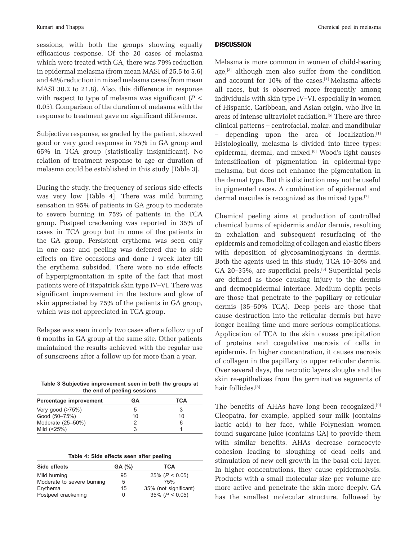sessions, with both the groups showing equally efficacious response. Of the 20 cases of melasma which were treated with GA, there was 79% reduction in epidermal melasma (from mean MASI of 25.5 to 5.6) and 48% reduction in mixed melasma cases (from mean MASI 30.2 to 21.8). Also, this difference in response with respect to type of melasma was significant (*P* < 0.05). Comparison of the duration of melasma with the response to treatment gave no significant difference.

Subjective response, as graded by the patient, showed good or very good response in 75% in GA group and 65% in TCA group (statistically insignificant). No relation of treatment response to age or duration of melasma could be established in this study [Table 3].

During the study, the frequency of serious side effects was very low [Table 4]. There was mild burning sensation in 95% of patients in GA group to moderate to severe burning in 75% of patients in the TCA group. Postpeel crackening was reported in 35% of cases in TCA group but in none of the patients in the GA group. Persistent erythema was seen only in one case and peeling was deferred due to side effects on five occasions and done 1 week later till the erythema subsided. There were no side effects of hyperpigmentation in spite of the fact that most patients were of Fitzpatrick skin type IV–VI. There was significant improvement in the texture and glow of skin appreciated by 75% of the patients in GA group, which was not appreciated in TCA group.

Relapse was seen in only two cases after a follow up of 6 months in GA group at the same site. Other patients maintained the results achieved with the regular use of sunscreens after a follow up for more than a year.

| Table 3 Subjective improvement seen in both the groups at<br>the end of peeling sessions |    |     |  |  |
|------------------------------------------------------------------------------------------|----|-----|--|--|
| Percentage improvement                                                                   | GА | TCA |  |  |
| Very good $($ >75%)                                                                      | 5  |     |  |  |
| Good (50-75%)                                                                            | 10 | 10  |  |  |
| Moderate (25-50%)                                                                        | 2  | 6   |  |  |
| Mild (<25%)                                                                              | 3  |     |  |  |

| Table 4: Side effects seen after peeling |    |                       |  |  |  |
|------------------------------------------|----|-----------------------|--|--|--|
| Side effects<br>GA (%)<br>TCA            |    |                       |  |  |  |
| Mild burning                             | 95 | $25\%$ (P < 0.05)     |  |  |  |
| Moderate to severe burning               | 5  | 75%                   |  |  |  |
| Erythema                                 | 15 | 35% (not significant) |  |  |  |
| Postpeel crackening                      |    | $35\%$ ( $P < 0.05$ ) |  |  |  |

## **DISCUSSION**

Melasma is more common in women of child-bearing age,<sup>[3]</sup> although men also suffer from the condition and account for 10% of the cases.<sup>[4]</sup> Melasma affects all races, but is observed more frequently among individuals with skin type IV–VI, especially in women of Hispanic, Caribbean, and Asian origin, who live in areas of intense ultraviolet radiation.[5] There are three clinical patterns – centrofacial, malar, and mandibular  $-$  depending upon the area of localization. $[1]$ Histologically, melasma is divided into three types: epidermal, dermal, and mixed.[6] Wood's light causes intensification of pigmentation in epidermal-type melasma, but does not enhance the pigmentation in the dermal type. But this distinction may not be useful in pigmented races. A combination of epidermal and dermal macules is recognized as the mixed type.<sup>[7]</sup>

Chemical peeling aims at production of controlled chemical burns of epidermis and/or dermis, resulting in exhalation and subsequent resurfacing of the epidermis and remodeling of collagen and elastic fibers with deposition of glycosaminoglycans in dermis. Both the agents used in this study, TCA 10–20% and GA 20-35%, are superficial peels.<sup>[8]</sup> Superficial peels are defined as those causing injury to the dermis and dermoepidermal interface. Medium depth peels are those that penetrate to the papillary or reticular dermis (35–50% TCA). Deep peels are those that cause destruction into the reticular dermis but have longer healing time and more serious complications. Application of TCA to the skin causes precipitation of proteins and coagulative necrosis of cells in epidermis. In higher concentration, it causes necrosis of collagen in the papillary to upper reticular dermis. Over several days, the necrotic layers sloughs and the skin re-epithelizes from the germinative segments of hair follicles.[8]

The benefits of AHAs have long been recognized.[9] Cleopatra, for example, applied sour milk (contains lactic acid) to her face, while Polynesian women found sugarcane juice (contains GA) to provide them with similar benefits. AHAs decrease corneocyte cohesion leading to sloughing of dead cells and stimulation of new cell growth in the basal cell layer. In higher concentrations, they cause epidermolysis. Products with a small molecular size per volume are more active and penetrate the skin more deeply. GA has the smallest molecular structure, followed by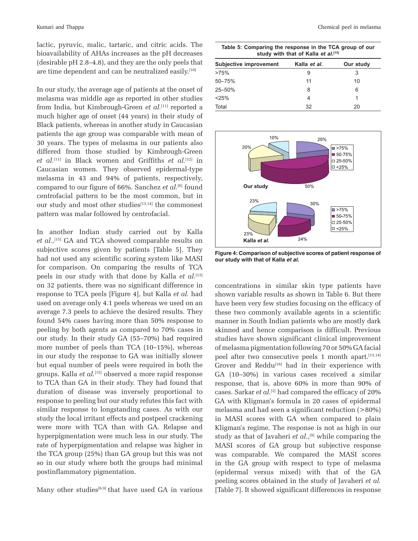lactic, pyruvic, malic, tartaric, and citric acids. The bioavailability of AHAs increases as the pH decreases (desirable pH 2.8–4.8), and they are the only peels that are time dependent and can be neutralized easily.[10]

In our study, the average age of patients at the onset of melasma was middle age as reported in other studies from India, but Kimbrough-Green *et al.*[11] reported a much higher age of onset (44 years) in their study of Black patients, whereas in another study in Caucasian patients the age group was comparable with mean of 30 years. The types of melasma in our patients also differed from those studied by Kimbrough-Green *et al.*[11] in Black women and Griffiths *et al.*[12] in Caucasian women. They observed epidermal-type melasma in 43 and 94% of patients, respectively, compared to our figure of 66%. Sanchez *et al.*[6] found centrofacial pattern to be the most common, but in our study and most other studies<sup>[13,14]</sup> the commonest pattern was malar followed by centrofacial.

In another Indian study carried out by Kalla *et al.,*[15] GA and TCA showed comparable results on subjective scores given by patients [Table 5]. They had not used any scientific scoring system like MASI for comparison. On comparing the results of TCA peels in our study with that done by Kalla *et al.*[15] on 32 patients, there was no significant difference in response to TCA peels [Figure 4], but Kalla *et al.* had used on average only 4.1 peels whereas we used on an average 7.3 peels to achieve the desired results. They found 54% cases having more than 50% response to peeling by both agents as compared to 70% cases in our study. In their study GA (55–70%) had required more number of peels than TCA (10–15%), whereas in our study the response to GA was initially slower but equal number of peels were required in both the groups. Kalla *et al.*[15] observed a more rapid response to TCA than GA in their study. They had found that duration of disease was inversely proportional to response to peeling but our study refutes this fact with similar response to longstanding cases. As with our study the local irritant effects and postpeel crackening were more with TCA than with GA. Relapse and hyperpigmentation were much less in our study. The rate of hyperpigmentation and relapse was higher in the TCA group (25%) than GA group but this was not so in our study where both the groups had minimal postinflammatory pigmentation.

Many other studies<sup>[6,9]</sup> that have used GA in various

|                                           | Table 5: Comparing the response in the TCA group of our<br>study with that of Kalla et al.[15] |              |
|-------------------------------------------|------------------------------------------------------------------------------------------------|--------------|
| and the state of the component common the | $17 - 11 - 11 - 1$                                                                             | Arraz Arraka |

| <b>Subjective improvement</b> | Kalla et al. | Our study |  |  |
|-------------------------------|--------------|-----------|--|--|
| >75%                          | 9            | 3         |  |  |
| $50 - 75%$                    | 11           | 10        |  |  |
| 25-50%                        | 8            | 6         |  |  |
| < 25%                         | 4            |           |  |  |
| Total                         | 32           | 20        |  |  |



**Figure 4: Comparison of subjective scores of patient response of our study with that of Kalla** *et al.*

concentrations in similar skin type patients have shown variable results as shown in Table 6. But there have been very few studies focusing on the efficacy of these two commonly available agents in a scientific manner in South Indian patients who are mostly dark skinned and hence comparison is difficult. Previous studies have shown significant clinical improvement of melasma pigmentation following 70 or 50% GA facial peel after two consecutive peels 1 month apart.<sup>[13,14]</sup> Grover and Reddu<sup>[16]</sup> had in their experience with GA (10–30%) in various cases received a similar response, that is, above 60% in more than 90% of cases. Sarkar *et al.*[2] had compared the efficacy of 20% GA with Kligman's formula in 20 cases of epidermal melasma and had seen a significant reduction (>80%) in MASI scores with GA when compared to plain Kligman's regime. The response is not as high in our study as that of Javaheri *et al.*,<sup>[9]</sup> while comparing the MASI scores of GA group but subjective response was comparable. We compared the MASI scores in the GA group with respect to type of melasma (epidermal versus mixed) with that of the GA peeling scores obtained in the study of Javaheri *et al.* [Table 7]. It showed significant differences in response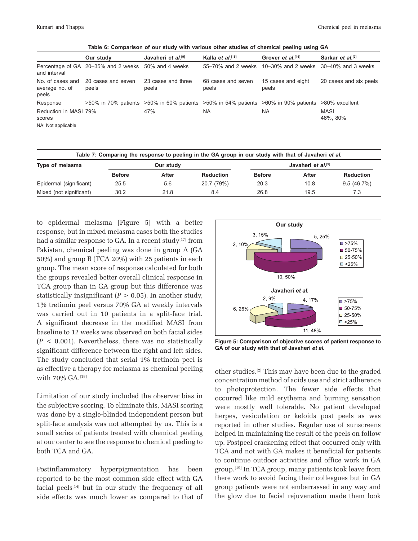| Table 6: Comparison of our study with various other studies of chemical peeling using GA |                                                     |                                                                                                                   |                              |                                                          |                              |
|------------------------------------------------------------------------------------------|-----------------------------------------------------|-------------------------------------------------------------------------------------------------------------------|------------------------------|----------------------------------------------------------|------------------------------|
|                                                                                          | Our study                                           | Javaheri et al. <sup>[9]</sup>                                                                                    | Kalla et al. <sup>[15]</sup> | Grover et al. <sup>[16]</sup>                            | Sarkar et al. <sup>[2]</sup> |
| and interval                                                                             | Percentage of GA 20-35% and 2 weeks 50% and 4 weeks |                                                                                                                   |                              | 55–70% and 2 weeks 10–30% and 2 weeks 30–40% and 3 weeks |                              |
| average no. of<br>peels                                                                  | No. of cases and 20 cases and seven<br>peels        | 23 cases and three<br>peels                                                                                       | 68 cases and seven<br>peels  | 15 cases and eight<br>peels                              | 20 cases and six peels       |
| Response                                                                                 |                                                     | $>50\%$ in 70% patients $>50\%$ in 60% patients $>50\%$ in 54% patients $>60\%$ in 90% patients $>80\%$ excellent |                              |                                                          |                              |
| Reduction in MASI 79%<br>scores                                                          |                                                     | 47%                                                                                                               | <b>NA</b>                    | <b>NA</b>                                                | <b>MASI</b><br>46%, 80%      |
| NA · Not annliachla                                                                      |                                                     |                                                                                                                   |                              |                                                          |                              |

|  | NA: Not applicable |  |
|--|--------------------|--|
|--|--------------------|--|

| Table 7: Comparing the response to peeling in the GA group in our study with that of Javaheri et al. |               |       |                  |                                |       |                  |
|------------------------------------------------------------------------------------------------------|---------------|-------|------------------|--------------------------------|-------|------------------|
| Type of melasma                                                                                      | Our study     |       |                  | Javaheri et al. <sup>[9]</sup> |       |                  |
|                                                                                                      | <b>Before</b> | After | <b>Reduction</b> | <b>Before</b>                  | After | <b>Reduction</b> |
| Epidermal (significant)                                                                              | 25.5          | 5.6   | 20.7 (79%)       | 20.3                           | 10.8  | 9.5(46.7%)       |
| Mixed (not significant)                                                                              | 30.2          | 21.8  | 8.4              | 26.8                           | 19.5  | 7.3              |

to epidermal melasma [Figure 5] with a better response, but in mixed melasma cases both the studies had a similar response to GA. In a recent study $[17]$  from Pakistan, chemical peeling was done in group A (GA 50%) and group B (TCA 20%) with 25 patients in each group. The mean score of response calculated for both the groups revealed better overall clinical response in TCA group than in GA group but this difference was statistically insignificant  $(P > 0.05)$ . In another study, 1% tretinoin peel versus 70% GA at weekly intervals was carried out in 10 patients in a split-face trial. A significant decrease in the modified MASI from baseline to 12 weeks was observed on both facial sides  $(P < 0.001)$ . Nevertheless, there was no statistically significant difference between the right and left sides. The study concluded that serial 1% tretinoin peel is as effective a therapy for melasma as chemical peeling with 70% GA.<sup>[18]</sup>

Limitation of our study included the observer bias in the subjective scoring. To eliminate this, MASI scoring was done by a single-blinded independent person but split-face analysis was not attempted by us. This is a small series of patients treated with chemical peeling at our center to see the response to chemical peeling to both TCA and GA.

Postinflammatory hyperpigmentation has been reported to be the most common side effect with GA facial peels $[14]$  but in our study the frequency of all side effects was much lower as compared to that of



**Figure 5: Comparison of objective scores of patient response to**  GA of our study with that of Javaheri et al.

other studies.[2] This may have been due to the graded concentration method of acids use and strict adherence to photoprotection. The fewer side effects that occurred like mild erythema and burning sensation were mostly well tolerable. No patient developed herpes, vesiculation or keloids post peels as was reported in other studies. Regular use of sunscreens helped in maintaining the result of the peels on follow up. Postpeel crackening effect that occurred only with TCA and not with GA makes it beneficial for patients to continue outdoor activities and office work in GA group.[19] In TCA group, many patients took leave from there work to avoid facing their colleagues but in GA group patients were not embarrassed in any way and the glow due to facial rejuvenation made them look